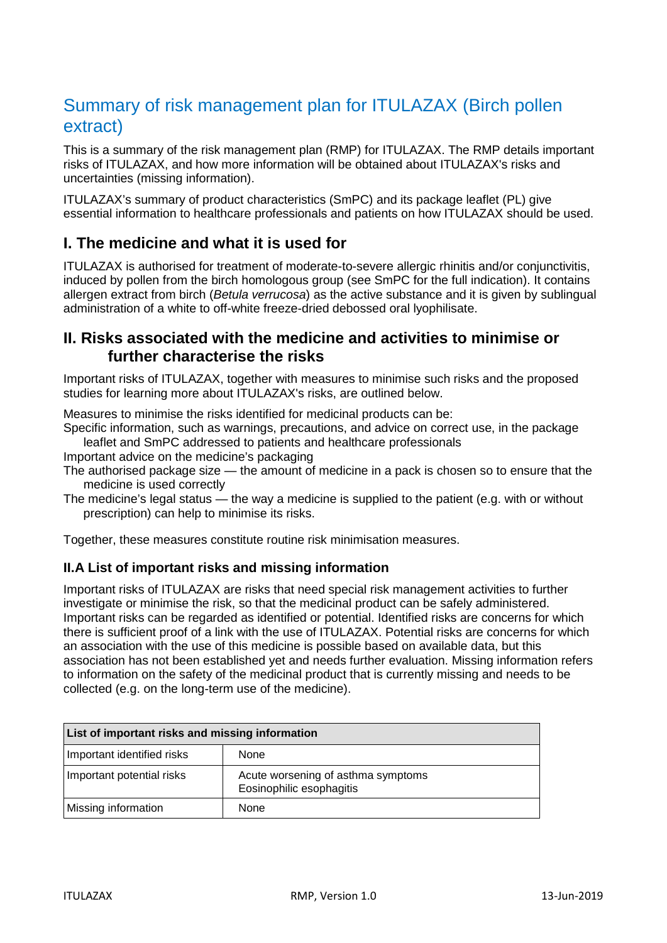# Summary of risk management plan for ITULAZAX (Birch pollen extract)

This is a summary of the risk management plan (RMP) for ITULAZAX. The RMP details important risks of ITULAZAX, and how more information will be obtained about ITULAZAX's risks and uncertainties (missing information).

ITULAZAX's summary of product characteristics (SmPC) and its package leaflet (PL) give essential information to healthcare professionals and patients on how ITULAZAX should be used.

### **I. The medicine and what it is used for**

ITULAZAX is authorised for treatment of moderate-to-severe allergic rhinitis and/or conjunctivitis, induced by pollen from the birch homologous group (see SmPC for the full indication). It contains allergen extract from birch (*Betula verrucosa*) as the active substance and it is given by sublingual administration of a white to off-white freeze-dried debossed oral lyophilisate.

### **II. Risks associated with the medicine and activities to minimise or further characterise the risks**

Important risks of ITULAZAX, together with measures to minimise such risks and the proposed studies for learning more about ITULAZAX's risks, are outlined below.

Measures to minimise the risks identified for medicinal products can be:

Specific information, such as warnings, precautions, and advice on correct use, in the package leaflet and SmPC addressed to patients and healthcare professionals

Important advice on the medicine's packaging

- The authorised package size the amount of medicine in a pack is chosen so to ensure that the medicine is used correctly
- The medicine's legal status  $\frac{1}{x}$  the way a medicine is supplied to the patient (e.g. with or without prescription) can help to minimise its risks.

Together, these measures constitute routine risk minimisation measures.

#### **II.A List of important risks and missing information**

Important risks of ITULAZAX are risks that need special risk management activities to further investigate or minimise the risk, so that the medicinal product can be safely administered. Important risks can be regarded as identified or potential. Identified risks are concerns for which there is sufficient proof of a link with the use of ITULAZAX. Potential risks are concerns for which an association with the use of this medicine is possible based on available data, but this association has not been established yet and needs further evaluation. Missing information refers to information on the safety of the medicinal product that is currently missing and needs to be collected (e.g. on the long-term use of the medicine).

| List of important risks and missing information |                                                                |
|-------------------------------------------------|----------------------------------------------------------------|
| Important identified risks                      | None                                                           |
| Important potential risks                       | Acute worsening of asthma symptoms<br>Eosinophilic esophagitis |
| <b>Missing information</b>                      | None                                                           |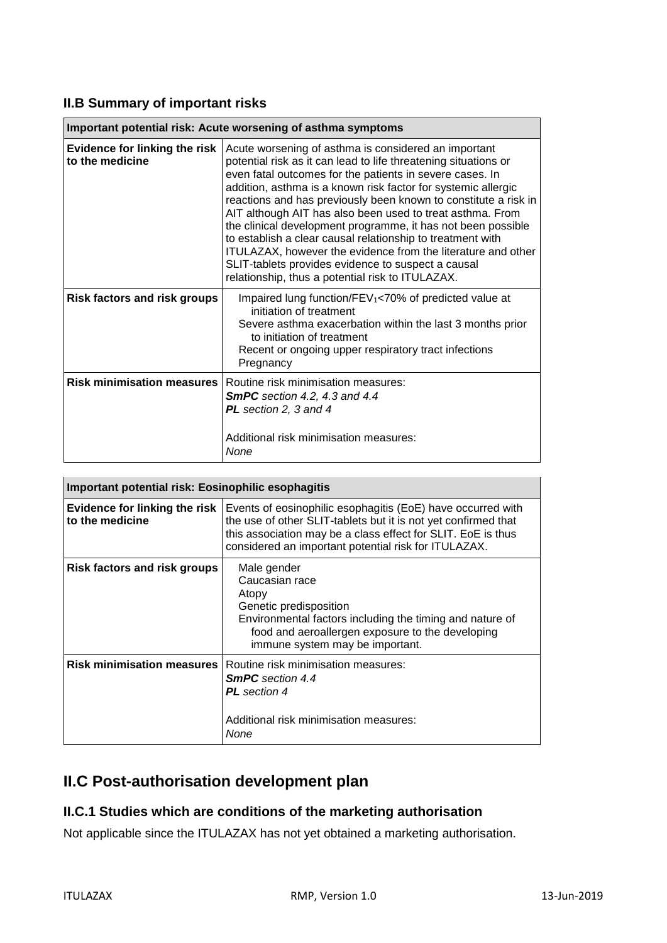#### **II.B Summary of important risks**

| Important potential risk: Acute worsening of asthma symptoms |                                                                                                                                                                                                                                                                                                                                                                                                                                                                                                                                                                                                                                                                                              |
|--------------------------------------------------------------|----------------------------------------------------------------------------------------------------------------------------------------------------------------------------------------------------------------------------------------------------------------------------------------------------------------------------------------------------------------------------------------------------------------------------------------------------------------------------------------------------------------------------------------------------------------------------------------------------------------------------------------------------------------------------------------------|
| Evidence for linking the risk<br>to the medicine             | Acute worsening of asthma is considered an important<br>potential risk as it can lead to life threatening situations or<br>even fatal outcomes for the patients in severe cases. In<br>addition, asthma is a known risk factor for systemic allergic<br>reactions and has previously been known to constitute a risk in<br>AIT although AIT has also been used to treat asthma. From<br>the clinical development programme, it has not been possible<br>to establish a clear causal relationship to treatment with<br>ITULAZAX, however the evidence from the literature and other<br>SLIT-tablets provides evidence to suspect a causal<br>relationship, thus a potential risk to ITULAZAX. |
| <b>Risk factors and risk groups</b>                          | Impaired lung function/FEV <sub>1</sub> <70% of predicted value at<br>initiation of treatment<br>Severe asthma exacerbation within the last 3 months prior<br>to initiation of treatment<br>Recent or ongoing upper respiratory tract infections<br>Pregnancy                                                                                                                                                                                                                                                                                                                                                                                                                                |
| <b>Risk minimisation measures</b>                            | Routine risk minimisation measures:<br>SmPC section 4.2, 4.3 and 4.4<br><b>PL</b> section 2, 3 and 4<br>Additional risk minimisation measures:<br>None                                                                                                                                                                                                                                                                                                                                                                                                                                                                                                                                       |

| Important potential risk: Eosinophilic esophagitis |                                                                                                                                                                                                                                                       |
|----------------------------------------------------|-------------------------------------------------------------------------------------------------------------------------------------------------------------------------------------------------------------------------------------------------------|
| Evidence for linking the risk<br>to the medicine   | Events of eosinophilic esophagitis (EoE) have occurred with<br>the use of other SLIT-tablets but it is not yet confirmed that<br>this association may be a class effect for SLIT. EoE is thus<br>considered an important potential risk for ITULAZAX. |
| <b>Risk factors and risk groups</b>                | Male gender<br>Caucasian race<br>Atopy<br>Genetic predisposition<br>Environmental factors including the timing and nature of<br>food and aeroallergen exposure to the developing<br>immune system may be important.                                   |
| <b>Risk minimisation measures</b>                  | Routine risk minimisation measures:<br><b>SmPC</b> section 4.4<br><b>PL</b> section 4<br>Additional risk minimisation measures:<br>None                                                                                                               |

## **II.C Post-authorisation development plan**

#### **II.C.1 Studies which are conditions of the marketing authorisation**

Not applicable since the ITULAZAX has not yet obtained a marketing authorisation.